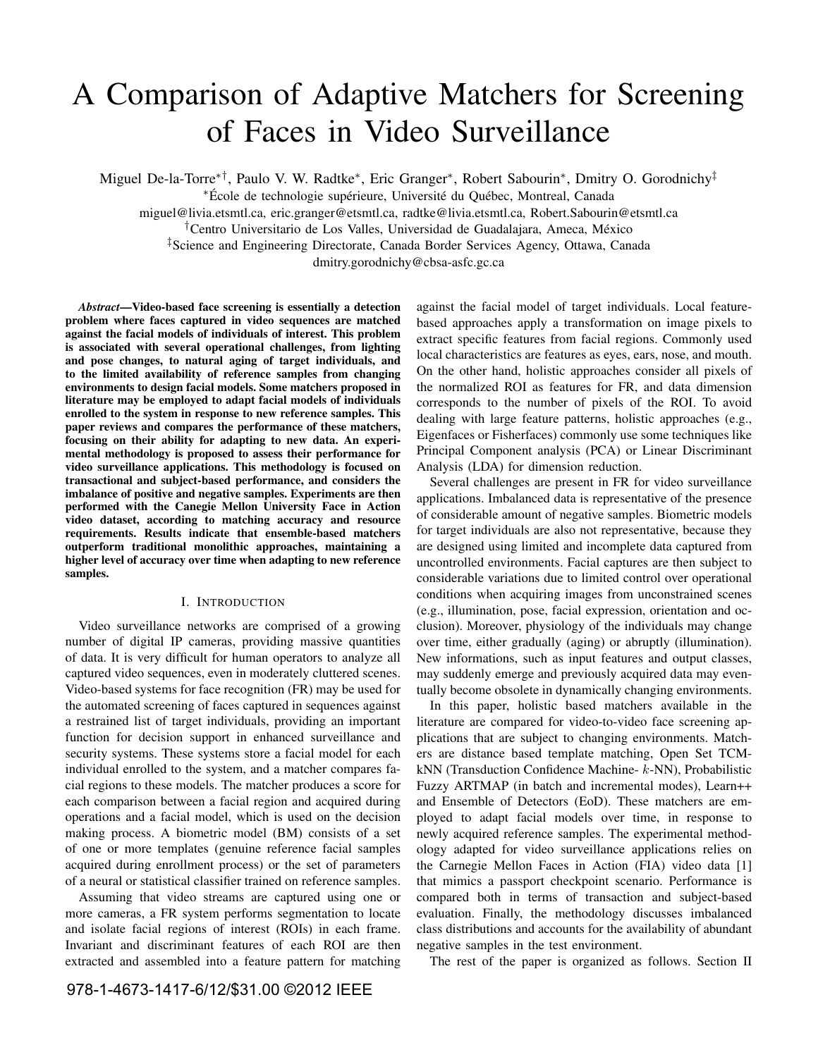# A Comparison of Adaptive Matchers for Screening of Faces in Video Surveillance

Miguel De-la-Torre∗†, Paulo V. W. Radtke∗, Eric Granger∗, Robert Sabourin∗, Dmitry O. Gorodnichy‡

\*École de technologie supérieure, Université du Québec, Montreal, Canada

miguel@livia.etsmtl.ca, eric.granger@etsmtl.ca, radtke@livia.etsmtl.ca, Robert.Sabourin@etsmtl.ca

†Centro Universitario de Los Valles, Universidad de Guadalajara, Ameca, Mexico ´

‡Science and Engineering Directorate, Canada Border Services Agency, Ottawa, Canada

dmitry.gorodnichy@cbsa-asfc.gc.ca

*Abstract*—Video-based face screening is essentially a detection problem where faces captured in video sequences are matched against the facial models of individuals of interest. This problem is associated with several operational challenges, from lighting and pose changes, to natural aging of target individuals, and to the limited availability of reference samples from changing environments to design facial models. Some matchers proposed in literature may be employed to adapt facial models of individuals enrolled to the system in response to new reference samples. This paper reviews and compares the performance of these matchers, focusing on their ability for adapting to new data. An experimental methodology is proposed to assess their performance for video surveillance applications. This methodology is focused on transactional and subject-based performance, and considers the imbalance of positive and negative samples. Experiments are then performed with the Canegie Mellon University Face in Action video dataset, according to matching accuracy and resource requirements. Results indicate that ensemble-based matchers outperform traditional monolithic approaches, maintaining a higher level of accuracy over time when adapting to new reference samples.

# I. INTRODUCTION

Video surveillance networks are comprised of a growing number of digital IP cameras, providing massive quantities of data. It is very difficult for human operators to analyze all captured video sequences, even in moderately cluttered scenes. Video-based systems for face recognition (FR) may be used for the automated screening of faces captured in sequences against a restrained list of target individuals, providing an important function for decision support in enhanced surveillance and security systems. These systems store a facial model for each individual enrolled to the system, and a matcher compares facial regions to these models. The matcher produces a score for each comparison between a facial region and acquired during operations and a facial model, which is used on the decision making process. A biometric model (BM) consists of a set of one or more templates (genuine reference facial samples acquired during enrollment process) or the set of parameters of a neural or statistical classifier trained on reference samples.

Assuming that video streams are captured using one or more cameras, a FR system performs segmentation to locate and isolate facial regions of interest (ROIs) in each frame. Invariant and discriminant features of each ROI are then extracted and assembled into a feature pattern for matching

978-1-4673-1417-6/12/\$31.00 ©2012 IEEE

against the facial model of target individuals. Local featurebased approaches apply a transformation on image pixels to extract specific features from facial regions. Commonly used local characteristics are features as eyes, ears, nose, and mouth. On the other hand, holistic approaches consider all pixels of the normalized ROI as features for FR, and data dimension corresponds to the number of pixels of the ROI. To avoid dealing with large feature patterns, holistic approaches (e.g., Eigenfaces or Fisherfaces) commonly use some techniques like Principal Component analysis (PCA) or Linear Discriminant Analysis (LDA) for dimension reduction.

Several challenges are present in FR for video surveillance applications. Imbalanced data is representative of the presence of considerable amount of negative samples. Biometric models for target individuals are also not representative, because they are designed using limited and incomplete data captured from uncontrolled environments. Facial captures are then subject to considerable variations due to limited control over operational conditions when acquiring images from unconstrained scenes (e.g., illumination, pose, facial expression, orientation and occlusion). Moreover, physiology of the individuals may change over time, either gradually (aging) or abruptly (illumination). New informations, such as input features and output classes, may suddenly emerge and previously acquired data may eventually become obsolete in dynamically changing environments.

In this paper, holistic based matchers available in the literature are compared for video-to-video face screening applications that are subject to changing environments. Matchers are distance based template matching, Open Set TCMkNN (Transduction Confidence Machine- k-NN), Probabilistic Fuzzy ARTMAP (in batch and incremental modes), Learn++ and Ensemble of Detectors (EoD). These matchers are employed to adapt facial models over time, in response to newly acquired reference samples. The experimental methodology adapted for video surveillance applications relies on the Carnegie Mellon Faces in Action (FIA) video data [1] that mimics a passport checkpoint scenario. Performance is compared both in terms of transaction and subject-based evaluation. Finally, the methodology discusses imbalanced class distributions and accounts for the availability of abundant negative samples in the test environment.

The rest of the paper is organized as follows. Section II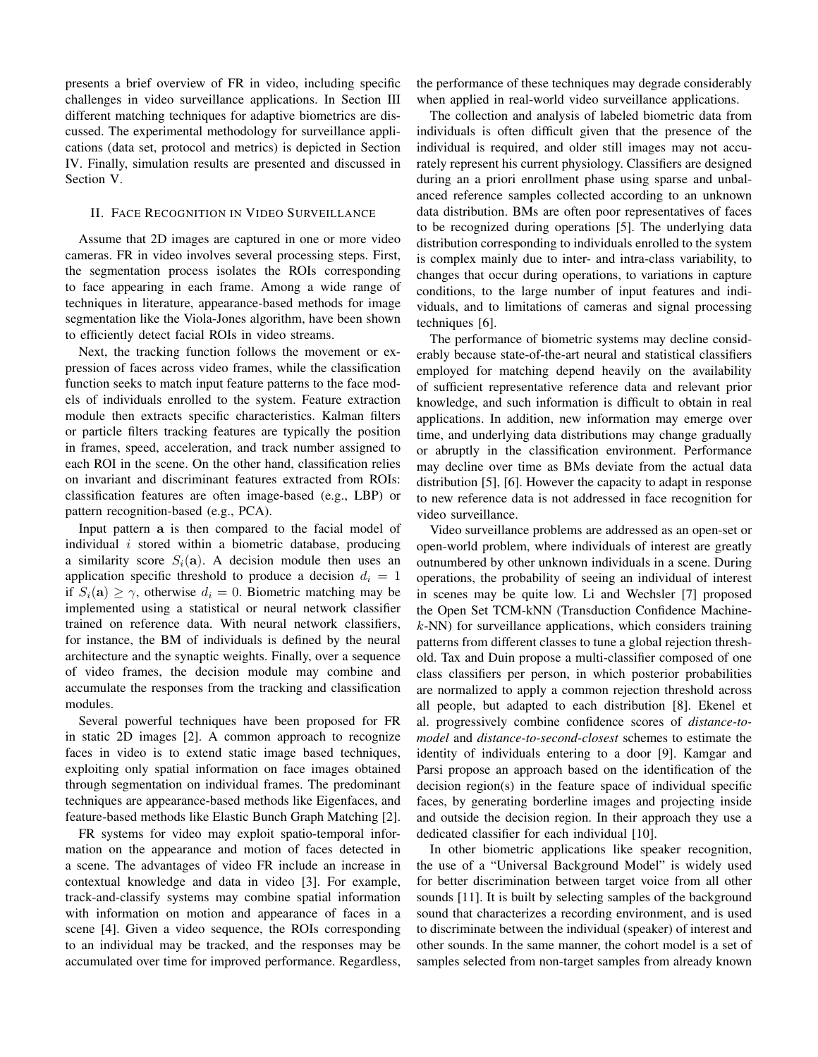presents a brief overview of FR in video, including specific challenges in video surveillance applications. In Section III different matching techniques for adaptive biometrics are discussed. The experimental methodology for surveillance applications (data set, protocol and metrics) is depicted in Section IV. Finally, simulation results are presented and discussed in Section V.

# II. FACE RECOGNITION IN VIDEO SURVEILLANCE

Assume that 2D images are captured in one or more video cameras. FR in video involves several processing steps. First, the segmentation process isolates the ROIs corresponding to face appearing in each frame. Among a wide range of techniques in literature, appearance-based methods for image segmentation like the Viola-Jones algorithm, have been shown to efficiently detect facial ROIs in video streams.

Next, the tracking function follows the movement or expression of faces across video frames, while the classification function seeks to match input feature patterns to the face models of individuals enrolled to the system. Feature extraction module then extracts specific characteristics. Kalman filters or particle filters tracking features are typically the position in frames, speed, acceleration, and track number assigned to each ROI in the scene. On the other hand, classification relies on invariant and discriminant features extracted from ROIs: classification features are often image-based (e.g., LBP) or pattern recognition-based (e.g., PCA).

Input pattern **a** is then compared to the facial model of individual  $i$  stored within a biometric database, producing a similarity score  $S_i(\mathbf{a})$ . A decision module then uses an application specific threshold to produce a decision  $d_i = 1$ if  $S_i(\mathbf{a}) \geq \gamma$ , otherwise  $d_i = 0$ . Biometric matching may be implemented using a statistical or neural network classifier trained on reference data. With neural network classifiers, for instance, the BM of individuals is defined by the neural architecture and the synaptic weights. Finally, over a sequence of video frames, the decision module may combine and accumulate the responses from the tracking and classification modules.

Several powerful techniques have been proposed for FR in static 2D images [2]. A common approach to recognize faces in video is to extend static image based techniques, exploiting only spatial information on face images obtained through segmentation on individual frames. The predominant techniques are appearance-based methods like Eigenfaces, and feature-based methods like Elastic Bunch Graph Matching [2].

FR systems for video may exploit spatio-temporal information on the appearance and motion of faces detected in a scene. The advantages of video FR include an increase in contextual knowledge and data in video [3]. For example, track-and-classify systems may combine spatial information with information on motion and appearance of faces in a scene [4]. Given a video sequence, the ROIs corresponding to an individual may be tracked, and the responses may be accumulated over time for improved performance. Regardless, the performance of these techniques may degrade considerably when applied in real-world video surveillance applications.

The collection and analysis of labeled biometric data from individuals is often difficult given that the presence of the individual is required, and older still images may not accurately represent his current physiology. Classifiers are designed during an a priori enrollment phase using sparse and unbalanced reference samples collected according to an unknown data distribution. BMs are often poor representatives of faces to be recognized during operations [5]. The underlying data distribution corresponding to individuals enrolled to the system is complex mainly due to inter- and intra-class variability, to changes that occur during operations, to variations in capture conditions, to the large number of input features and individuals, and to limitations of cameras and signal processing techniques [6].

The performance of biometric systems may decline considerably because state-of-the-art neural and statistical classifiers employed for matching depend heavily on the availability of sufficient representative reference data and relevant prior knowledge, and such information is difficult to obtain in real applications. In addition, new information may emerge over time, and underlying data distributions may change gradually or abruptly in the classification environment. Performance may decline over time as BMs deviate from the actual data distribution [5], [6]. However the capacity to adapt in response to new reference data is not addressed in face recognition for video surveillance.

Video surveillance problems are addressed as an open-set or open-world problem, where individuals of interest are greatly outnumbered by other unknown individuals in a scene. During operations, the probability of seeing an individual of interest in scenes may be quite low. Li and Wechsler [7] proposed the Open Set TCM-kNN (Transduction Confidence Machine $k$ -NN) for surveillance applications, which considers training patterns from different classes to tune a global rejection threshold. Tax and Duin propose a multi-classifier composed of one class classifiers per person, in which posterior probabilities are normalized to apply a common rejection threshold across all people, but adapted to each distribution [8]. Ekenel et al. progressively combine confidence scores of *distance-tomodel* and *distance-to-second-closest* schemes to estimate the identity of individuals entering to a door [9]. Kamgar and Parsi propose an approach based on the identification of the decision region(s) in the feature space of individual specific faces, by generating borderline images and projecting inside and outside the decision region. In their approach they use a dedicated classifier for each individual [10].

In other biometric applications like speaker recognition, the use of a "Universal Background Model" is widely used for better discrimination between target voice from all other sounds [11]. It is built by selecting samples of the background sound that characterizes a recording environment, and is used to discriminate between the individual (speaker) of interest and other sounds. In the same manner, the cohort model is a set of samples selected from non-target samples from already known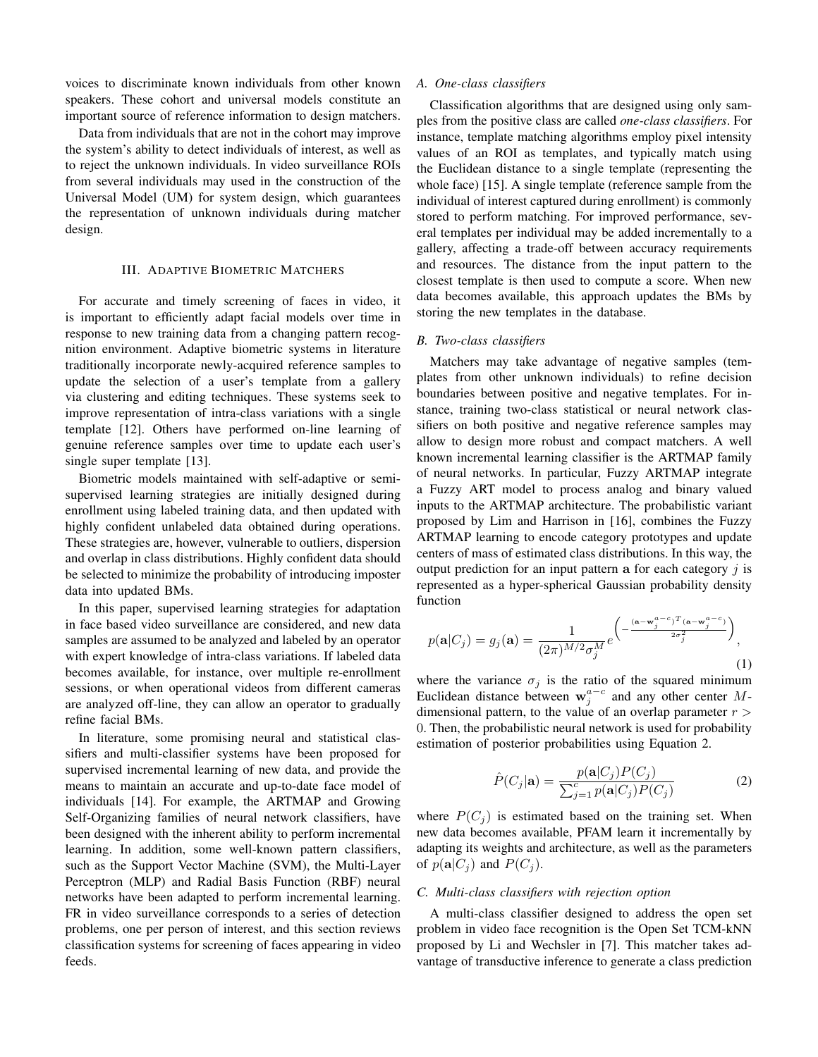voices to discriminate known individuals from other known speakers. These cohort and universal models constitute an important source of reference information to design matchers.

Data from individuals that are not in the cohort may improve the system's ability to detect individuals of interest, as well as to reject the unknown individuals. In video surveillance ROIs from several individuals may used in the construction of the Universal Model (UM) for system design, which guarantees the representation of unknown individuals during matcher design.

#### III. ADAPTIVE BIOMETRIC MATCHERS

For accurate and timely screening of faces in video, it is important to efficiently adapt facial models over time in response to new training data from a changing pattern recognition environment. Adaptive biometric systems in literature traditionally incorporate newly-acquired reference samples to update the selection of a user's template from a gallery via clustering and editing techniques. These systems seek to improve representation of intra-class variations with a single template [12]. Others have performed on-line learning of genuine reference samples over time to update each user's single super template [13].

Biometric models maintained with self-adaptive or semisupervised learning strategies are initially designed during enrollment using labeled training data, and then updated with highly confident unlabeled data obtained during operations. These strategies are, however, vulnerable to outliers, dispersion and overlap in class distributions. Highly confident data should be selected to minimize the probability of introducing imposter data into updated BMs.

In this paper, supervised learning strategies for adaptation in face based video surveillance are considered, and new data samples are assumed to be analyzed and labeled by an operator with expert knowledge of intra-class variations. If labeled data becomes available, for instance, over multiple re-enrollment sessions, or when operational videos from different cameras are analyzed off-line, they can allow an operator to gradually refine facial BMs.

In literature, some promising neural and statistical classifiers and multi-classifier systems have been proposed for supervised incremental learning of new data, and provide the means to maintain an accurate and up-to-date face model of individuals [14]. For example, the ARTMAP and Growing Self-Organizing families of neural network classifiers, have been designed with the inherent ability to perform incremental learning. In addition, some well-known pattern classifiers, such as the Support Vector Machine (SVM), the Multi-Layer Perceptron (MLP) and Radial Basis Function (RBF) neural networks have been adapted to perform incremental learning. FR in video surveillance corresponds to a series of detection problems, one per person of interest, and this section reviews classification systems for screening of faces appearing in video feeds.

#### *A. One-class classifiers*

Classification algorithms that are designed using only samples from the positive class are called *one-class classifiers*. For instance, template matching algorithms employ pixel intensity values of an ROI as templates, and typically match using the Euclidean distance to a single template (representing the whole face) [15]. A single template (reference sample from the individual of interest captured during enrollment) is commonly stored to perform matching. For improved performance, several templates per individual may be added incrementally to a gallery, affecting a trade-off between accuracy requirements and resources. The distance from the input pattern to the closest template is then used to compute a score. When new data becomes available, this approach updates the BMs by storing the new templates in the database.

#### *B. Two-class classifiers*

Matchers may take advantage of negative samples (templates from other unknown individuals) to refine decision boundaries between positive and negative templates. For instance, training two-class statistical or neural network classifiers on both positive and negative reference samples may allow to design more robust and compact matchers. A well known incremental learning classifier is the ARTMAP family of neural networks. In particular, Fuzzy ARTMAP integrate a Fuzzy ART model to process analog and binary valued inputs to the ARTMAP architecture. The probabilistic variant proposed by Lim and Harrison in [16], combines the Fuzzy ARTMAP learning to encode category prototypes and update centers of mass of estimated class distributions. In this way, the output prediction for an input pattern **a** for each category  $i$  is represented as a hyper-spherical Gaussian probability density function

$$
p(\mathbf{a}|C_j) = g_j(\mathbf{a}) = \frac{1}{(2\pi)^{M/2} \sigma_j^M} e^{-\left(\frac{(\mathbf{a}-\mathbf{w}_j^{a-c})^T(\mathbf{a}-\mathbf{w}_j^{a-c})}{2\sigma_j^2}\right)},
$$
\n(1)

where the variance  $\sigma_j$  is the ratio of the squared minimum Euclidean distance between  $w_j^{a-c}$  and any other center Mdimensional pattern, to the value of an overlap parameter  $r >$ 0. Then, the probabilistic neural network is used for probability estimation of posterior probabilities using Equation 2.

$$
\hat{P}(C_j|\mathbf{a}) = \frac{p(\mathbf{a}|C_j)P(C_j)}{\sum_{j=1}^{c} p(\mathbf{a}|C_j)P(C_j)}
$$
(2)

where  $P(C_i)$  is estimated based on the training set. When new data becomes available, PFAM learn it incrementally by adapting its weights and architecture, as well as the parameters of  $p(\mathbf{a}|C_j)$  and  $P(C_j)$ .

## *C. Multi-class classifiers with rejection option*

A multi-class classifier designed to address the open set problem in video face recognition is the Open Set TCM-kNN proposed by Li and Wechsler in [7]. This matcher takes advantage of transductive inference to generate a class prediction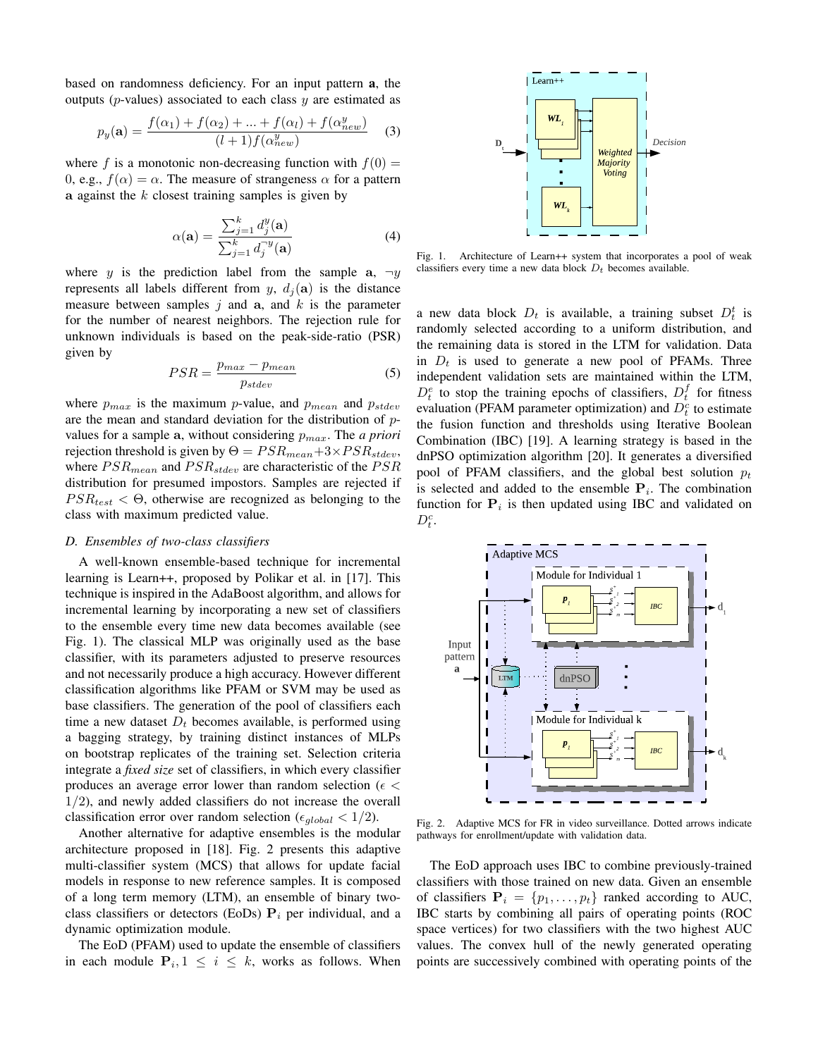based on randomness deficiency. For an input pattern a, the outputs ( $p$ -values) associated to each class  $y$  are estimated as

$$
p_y(\mathbf{a}) = \frac{f(\alpha_1) + f(\alpha_2) + \dots + f(\alpha_l) + f(\alpha_{new}^y)}{(l+1)f(\alpha_{new}^y)}
$$
(3)

where f is a monotonic non-decreasing function with  $f(0) =$ 0, e.g.,  $f(\alpha) = \alpha$ . The measure of strangeness  $\alpha$  for a pattern **a** against the k closest training samples is given by

$$
\alpha(\mathbf{a}) = \frac{\sum_{j=1}^{k} d_j^y(\mathbf{a})}{\sum_{j=1}^{k} d_j^{-y}(\mathbf{a})}
$$
(4)

where y is the prediction label from the sample  $a$ ,  $\neg y$ represents all labels different from y,  $d_i(\mathbf{a})$  is the distance measure between samples  $j$  and  $a$ , and  $k$  is the parameter for the number of nearest neighbors. The rejection rule for unknown individuals is based on the peak-side-ratio (PSR) given by

$$
PSR = \frac{p_{max} - p_{mean}}{p_{stdev}}\tag{5}
$$

where  $p_{max}$  is the maximum p-value, and  $p_{mean}$  and  $p_{stdev}$ are the mean and standard deviation for the distribution of pvalues for a sample  $a$ , without considering  $p_{max}$ . The *a priori* rejection threshold is given by  $\Theta = PSR_{mean} + 3 \times PSR_{stdev}$ , where  $PSR_{mean}$  and  $PSR_{stdev}$  are characteristic of the  $PSR$ distribution for presumed impostors. Samples are rejected if  $PSR_{test} < \Theta$ , otherwise are recognized as belonging to the class with maximum predicted value.

# *D. Ensembles of two-class classifiers*

A well-known ensemble-based technique for incremental learning is Learn++, proposed by Polikar et al. in [17]. This technique is inspired in the AdaBoost algorithm, and allows for incremental learning by incorporating a new set of classifiers to the ensemble every time new data becomes available (see Fig. 1). The classical MLP was originally used as the base classifier, with its parameters adjusted to preserve resources and not necessarily produce a high accuracy. However different classification algorithms like PFAM or SVM may be used as base classifiers. The generation of the pool of classifiers each time a new dataset  $D_t$  becomes available, is performed using a bagging strategy, by training distinct instances of MLPs on bootstrap replicates of the training set. Selection criteria integrate a *fixed size* set of classifiers, in which every classifier produces an average error lower than random selection ( $\epsilon$  <  $1/2$ ), and newly added classifiers do not increase the overall classification error over random selection ( $\epsilon_{global} < 1/2$ ).

Another alternative for adaptive ensembles is the modular architecture proposed in [18]. Fig. 2 presents this adaptive multi-classifier system (MCS) that allows for update facial models in response to new reference samples. It is composed of a long term memory (LTM), an ensemble of binary twoclass classifiers or detectors (EoDs)  $P_i$  per individual, and a dynamic optimization module.

The EoD (PFAM) used to update the ensemble of classifiers in each module  $P_i$ ,  $1 \leq i \leq k$ , works as follows. When



Fig. 1. Architecture of Learn++ system that incorporates a pool of weak classifiers every time a new data block  $D_t$  becomes available.

a new data block  $D_t$  is available, a training subset  $D_t^t$  is randomly selected according to a uniform distribution, and the remaining data is stored in the LTM for validation. Data in  $D_t$  is used to generate a new pool of PFAMs. Three independent validation sets are maintained within the LTM,  $D_t^e$  to stop the training epochs of classifiers,  $D_t^f$  for fitness evaluation (PFAM parameter optimization) and  $D_t^c$  to estimate the fusion function and thresholds using Iterative Boolean Combination (IBC) [19]. A learning strategy is based in the dnPSO optimization algorithm [20]. It generates a diversified pool of PFAM classifiers, and the global best solution  $p_t$ is selected and added to the ensemble  $P_i$ . The combination function for  $P_i$  is then updated using IBC and validated on  $D_t^c$ .



Fig. 2. Adaptive MCS for FR in video surveillance. Dotted arrows indicate pathways for enrollment/update with validation data.

The EoD approach uses IBC to combine previously-trained classifiers with those trained on new data. Given an ensemble of classifiers  $P_i = \{p_1, \ldots, p_t\}$  ranked according to AUC, IBC starts by combining all pairs of operating points (ROC space vertices) for two classifiers with the two highest AUC values. The convex hull of the newly generated operating points are successively combined with operating points of the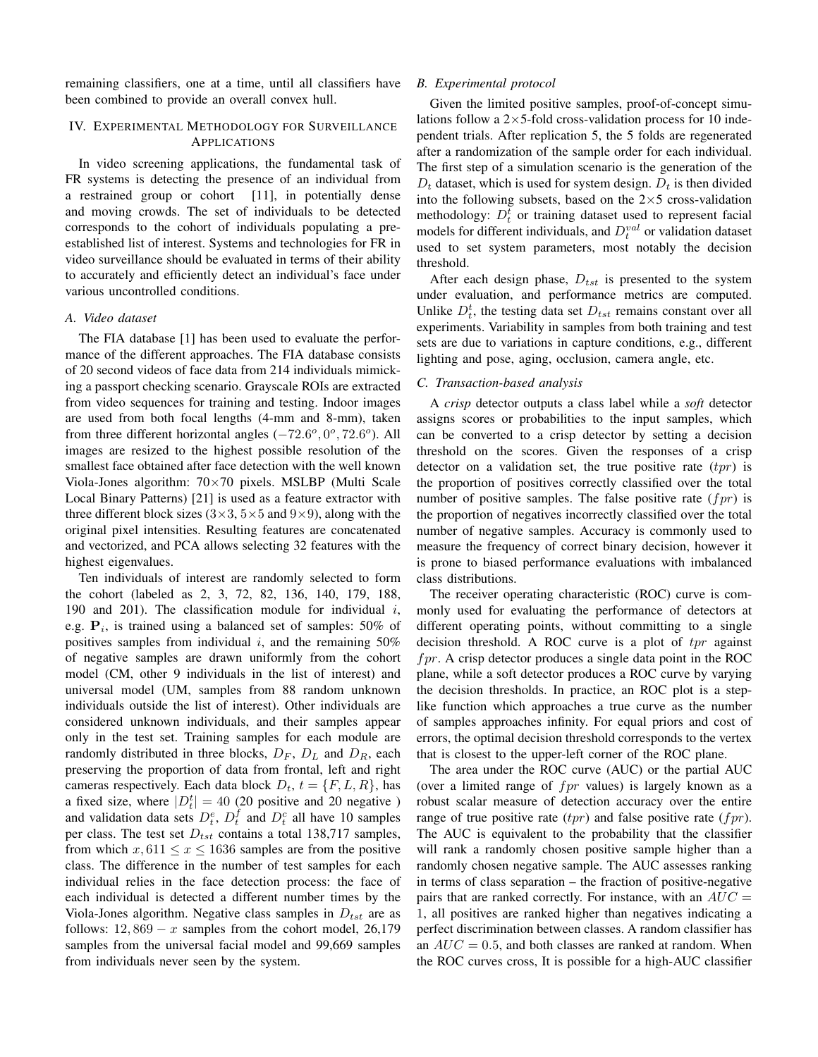remaining classifiers, one at a time, until all classifiers have been combined to provide an overall convex hull.

# IV. EXPERIMENTAL METHODOLOGY FOR SURVEILLANCE APPLICATIONS

In video screening applications, the fundamental task of FR systems is detecting the presence of an individual from a restrained group or cohort [11], in potentially dense and moving crowds. The set of individuals to be detected corresponds to the cohort of individuals populating a preestablished list of interest. Systems and technologies for FR in video surveillance should be evaluated in terms of their ability to accurately and efficiently detect an individual's face under various uncontrolled conditions.

#### *A. Video dataset*

The FIA database [1] has been used to evaluate the performance of the different approaches. The FIA database consists of 20 second videos of face data from 214 individuals mimicking a passport checking scenario. Grayscale ROIs are extracted from video sequences for training and testing. Indoor images are used from both focal lengths (4-mm and 8-mm), taken from three different horizontal angles  $(-72.6^{\circ}, 0^{\circ}, 72.6^{\circ})$ . All images are resized to the highest possible resolution of the smallest face obtained after face detection with the well known Viola-Jones algorithm: 70×70 pixels. MSLBP (Multi Scale Local Binary Patterns) [21] is used as a feature extractor with three different block sizes ( $3\times3$ ,  $5\times5$  and  $9\times9$ ), along with the original pixel intensities. Resulting features are concatenated and vectorized, and PCA allows selecting 32 features with the highest eigenvalues.

Ten individuals of interest are randomly selected to form the cohort (labeled as 2, 3, 72, 82, 136, 140, 179, 188, 190 and 201). The classification module for individual  $i$ , e.g.  $P_i$ , is trained using a balanced set of samples: 50% of positives samples from individual  $i$ , and the remaining 50% of negative samples are drawn uniformly from the cohort model (CM, other 9 individuals in the list of interest) and universal model (UM, samples from 88 random unknown individuals outside the list of interest). Other individuals are considered unknown individuals, and their samples appear only in the test set. Training samples for each module are randomly distributed in three blocks,  $D_F$ ,  $D_L$  and  $D_R$ , each preserving the proportion of data from frontal, left and right cameras respectively. Each data block  $D_t$ ,  $t = \{F, L, R\}$ , has a fixed size, where  $|D_t^t| = 40$  (20 positive and 20 negative) and validation data sets  $D_t^e$ ,  $D_t^f$  and  $D_t^c$  all have 10 samples per class. The test set  $D_{tst}$  contains a total 138,717 samples, from which  $x, 611 \le x \le 1636$  samples are from the positive class. The difference in the number of test samples for each individual relies in the face detection process: the face of each individual is detected a different number times by the Viola-Jones algorithm. Negative class samples in  $D_{tst}$  are as follows:  $12,869 - x$  samples from the cohort model, 26,179 samples from the universal facial model and 99,669 samples from individuals never seen by the system.

## *B. Experimental protocol*

Given the limited positive samples, proof-of-concept simulations follow a  $2\times$ 5-fold cross-validation process for 10 independent trials. After replication 5, the 5 folds are regenerated after a randomization of the sample order for each individual. The first step of a simulation scenario is the generation of the  $D_t$  dataset, which is used for system design.  $D_t$  is then divided into the following subsets, based on the  $2\times 5$  cross-validation methodology:  $D_t^t$  or training dataset used to represent facial models for different individuals, and  $D_t^{val}$  or validation dataset used to set system parameters, most notably the decision threshold.

After each design phase,  $D_{tst}$  is presented to the system under evaluation, and performance metrics are computed. Unlike  $D_t^t$ , the testing data set  $D_{tst}$  remains constant over all experiments. Variability in samples from both training and test sets are due to variations in capture conditions, e.g., different lighting and pose, aging, occlusion, camera angle, etc.

# *C. Transaction-based analysis*

A *crisp* detector outputs a class label while a *soft* detector assigns scores or probabilities to the input samples, which can be converted to a crisp detector by setting a decision threshold on the scores. Given the responses of a crisp detector on a validation set, the true positive rate  $(tpr)$  is the proportion of positives correctly classified over the total number of positive samples. The false positive rate  $(fpr)$  is the proportion of negatives incorrectly classified over the total number of negative samples. Accuracy is commonly used to measure the frequency of correct binary decision, however it is prone to biased performance evaluations with imbalanced class distributions.

The receiver operating characteristic (ROC) curve is commonly used for evaluating the performance of detectors at different operating points, without committing to a single decision threshold. A ROC curve is a plot of tpr against  $fpr.$  A crisp detector produces a single data point in the ROC plane, while a soft detector produces a ROC curve by varying the decision thresholds. In practice, an ROC plot is a steplike function which approaches a true curve as the number of samples approaches infinity. For equal priors and cost of errors, the optimal decision threshold corresponds to the vertex that is closest to the upper-left corner of the ROC plane.

The area under the ROC curve (AUC) or the partial AUC (over a limited range of  $fpr$  values) is largely known as a robust scalar measure of detection accuracy over the entire range of true positive rate  $(tpr)$  and false positive rate  $(fpr)$ . The AUC is equivalent to the probability that the classifier will rank a randomly chosen positive sample higher than a randomly chosen negative sample. The AUC assesses ranking in terms of class separation – the fraction of positive-negative pairs that are ranked correctly. For instance, with an  $AUC =$ 1, all positives are ranked higher than negatives indicating a perfect discrimination between classes. A random classifier has an  $AUC = 0.5$ , and both classes are ranked at random. When the ROC curves cross, It is possible for a high-AUC classifier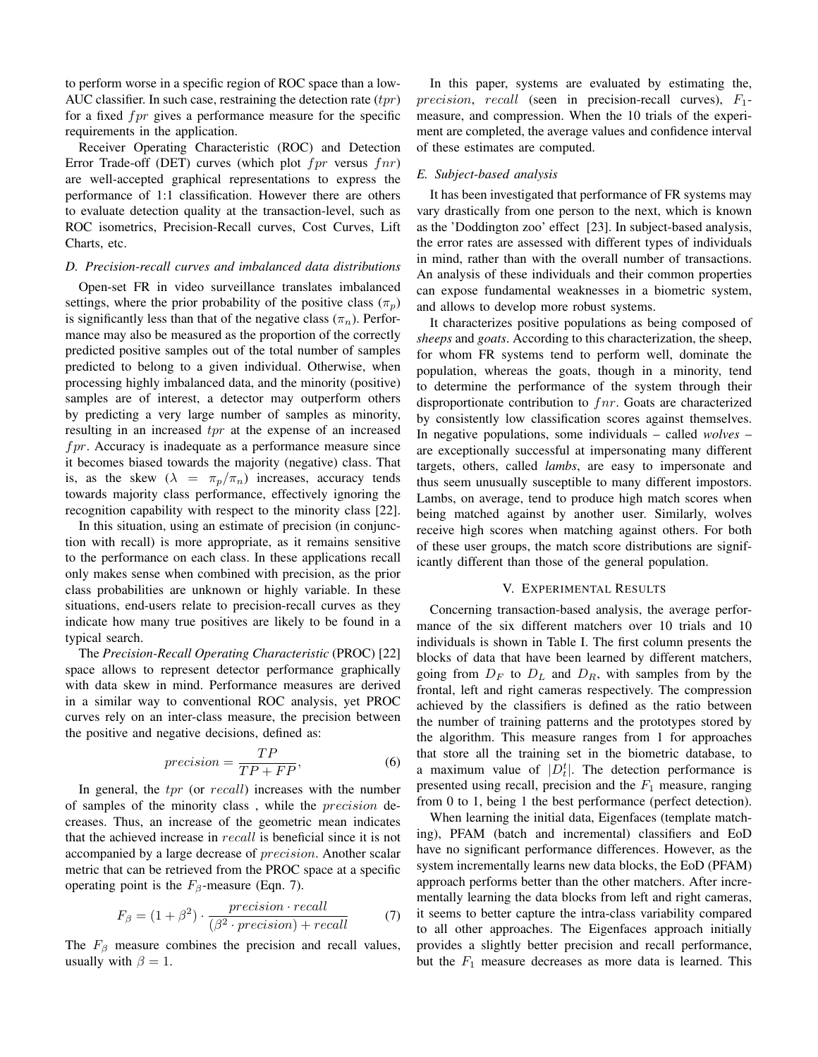to perform worse in a specific region of ROC space than a low-AUC classifier. In such case, restraining the detection rate  $(tpr)$ for a fixed  $fpr$  gives a performance measure for the specific requirements in the application.

Receiver Operating Characteristic (ROC) and Detection Error Trade-off (DET) curves (which plot  $fpr$  versus  $fnr$ ) are well-accepted graphical representations to express the performance of 1:1 classification. However there are others to evaluate detection quality at the transaction-level, such as ROC isometrics, Precision-Recall curves, Cost Curves, Lift Charts, etc.

#### *D. Precision-recall curves and imbalanced data distributions*

Open-set FR in video surveillance translates imbalanced settings, where the prior probability of the positive class  $(\pi_p)$ is significantly less than that of the negative class  $(\pi_n)$ . Performance may also be measured as the proportion of the correctly predicted positive samples out of the total number of samples predicted to belong to a given individual. Otherwise, when processing highly imbalanced data, and the minority (positive) samples are of interest, a detector may outperform others by predicting a very large number of samples as minority, resulting in an increased tpr at the expense of an increased  $fpr$ . Accuracy is inadequate as a performance measure since it becomes biased towards the majority (negative) class. That is, as the skew  $(\lambda = \pi_p/\pi_n)$  increases, accuracy tends towards majority class performance, effectively ignoring the recognition capability with respect to the minority class [22].

In this situation, using an estimate of precision (in conjunction with recall) is more appropriate, as it remains sensitive to the performance on each class. In these applications recall only makes sense when combined with precision, as the prior class probabilities are unknown or highly variable. In these situations, end-users relate to precision-recall curves as they indicate how many true positives are likely to be found in a typical search.

The *Precision-Recall Operating Characteristic* (PROC) [22] space allows to represent detector performance graphically with data skew in mind. Performance measures are derived in a similar way to conventional ROC analysis, yet PROC curves rely on an inter-class measure, the precision between the positive and negative decisions, defined as:

$$
precision = \frac{TP}{TP + FP},\tag{6}
$$

In general, the *tpr* (or *recall*) increases with the number of samples of the minority class , while the precision decreases. Thus, an increase of the geometric mean indicates that the achieved increase in recall is beneficial since it is not accompanied by a large decrease of precision. Another scalar metric that can be retrieved from the PROC space at a specific operating point is the  $F_\beta$ -measure (Eqn. 7).

$$
F_{\beta} = (1 + \beta^2) \cdot \frac{precision \cdot recall}{(\beta^2 \cdot precision) + recall}
$$
 (7)

The  $F_\beta$  measure combines the precision and recall values, usually with  $\beta = 1$ .

In this paper, systems are evaluated by estimating the, precision, recall (seen in precision-recall curves),  $F_1$ measure, and compression. When the 10 trials of the experiment are completed, the average values and confidence interval of these estimates are computed.

## *E. Subject-based analysis*

It has been investigated that performance of FR systems may vary drastically from one person to the next, which is known as the 'Doddington zoo' effect [23]. In subject-based analysis, the error rates are assessed with different types of individuals in mind, rather than with the overall number of transactions. An analysis of these individuals and their common properties can expose fundamental weaknesses in a biometric system, and allows to develop more robust systems.

It characterizes positive populations as being composed of *sheeps* and *goats*. According to this characterization, the sheep, for whom FR systems tend to perform well, dominate the population, whereas the goats, though in a minority, tend to determine the performance of the system through their disproportionate contribution to fnr. Goats are characterized by consistently low classification scores against themselves. In negative populations, some individuals – called *wolves* – are exceptionally successful at impersonating many different targets, others, called *lambs*, are easy to impersonate and thus seem unusually susceptible to many different impostors. Lambs, on average, tend to produce high match scores when being matched against by another user. Similarly, wolves receive high scores when matching against others. For both of these user groups, the match score distributions are significantly different than those of the general population.

## V. EXPERIMENTAL RESULTS

Concerning transaction-based analysis, the average performance of the six different matchers over 10 trials and 10 individuals is shown in Table I. The first column presents the blocks of data that have been learned by different matchers, going from  $D_F$  to  $D_L$  and  $D_R$ , with samples from by the frontal, left and right cameras respectively. The compression achieved by the classifiers is defined as the ratio between the number of training patterns and the prototypes stored by the algorithm. This measure ranges from 1 for approaches that store all the training set in the biometric database, to a maximum value of  $|D_t^t|$ . The detection performance is presented using recall, precision and the  $F_1$  measure, ranging from 0 to 1, being 1 the best performance (perfect detection).

When learning the initial data, Eigenfaces (template matching), PFAM (batch and incremental) classifiers and EoD have no significant performance differences. However, as the system incrementally learns new data blocks, the EoD (PFAM) approach performs better than the other matchers. After incrementally learning the data blocks from left and right cameras, it seems to better capture the intra-class variability compared to all other approaches. The Eigenfaces approach initially provides a slightly better precision and recall performance, but the  $F_1$  measure decreases as more data is learned. This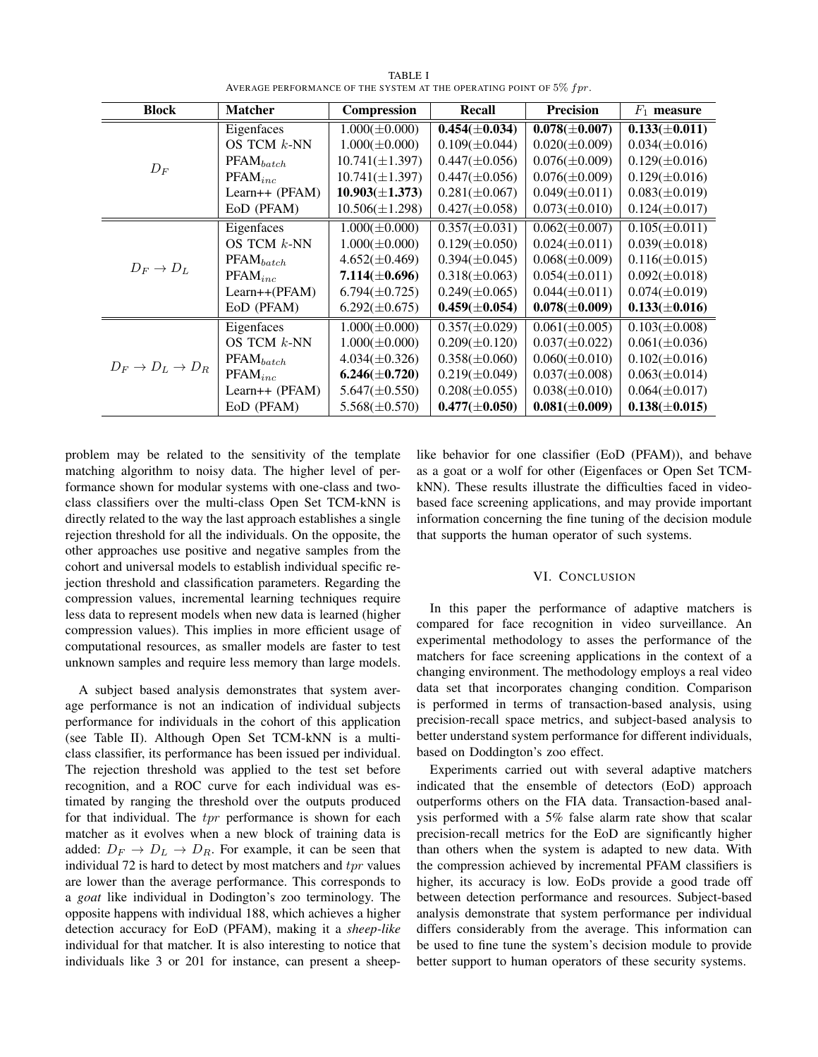| <b>Block</b>          | <b>Matcher</b>  | <b>Compression</b>  | Recall             | <b>Precision</b>   | $F_1$ measure      |
|-----------------------|-----------------|---------------------|--------------------|--------------------|--------------------|
| $D_F$                 | Eigenfaces      | $1.000(\pm 0.000)$  | $0.454(\pm 0.034)$ | $0.078(\pm 0.007)$ | $0.133(\pm 0.011)$ |
|                       | OS TCM k-NN     | $1.000(\pm 0.000)$  | $0.109(\pm 0.044)$ | $0.020(\pm 0.009)$ | $0.034(\pm 0.016)$ |
|                       | $PFAM_{batch}$  | $10.741(\pm 1.397)$ | $0.447(\pm 0.056)$ | $0.076(\pm 0.009)$ | $0.129(\pm 0.016)$ |
|                       | $PFAM_{inc}$    | $10.741(\pm 1.397)$ | $0.447(\pm 0.056)$ | $0.076(\pm 0.009)$ | $0.129(\pm 0.016)$ |
|                       | Learn++ (PFAM)  | $10.903(\pm 1.373)$ | $0.281(\pm 0.067)$ | $0.049(\pm 0.011)$ | $0.083(\pm 0.019)$ |
|                       | EoD (PFAM)      | $10.506(\pm 1.298)$ | $0.427(\pm 0.058)$ | $0.073(\pm 0.010)$ | $0.124(\pm 0.017)$ |
| $D_F \rightarrow D_L$ | Eigenfaces      | $1.000(\pm 0.000)$  | $0.357(\pm 0.031)$ | $0.062(\pm 0.007)$ | $0.105(\pm 0.011)$ |
|                       | OS TCM k-NN     | $1.000(\pm 0.000)$  | $0.129(\pm 0.050)$ | $0.024(\pm 0.011)$ | $0.039(\pm 0.018)$ |
|                       | $PFAM_{batch}$  | $4.652(\pm 0.469)$  | $0.394(\pm 0.045)$ | $0.068(\pm 0.009)$ | $0.116(\pm 0.015)$ |
|                       | $PFAM_{inc}$    | $7.114(\pm 0.696)$  | $0.318(\pm 0.063)$ | $0.054(\pm 0.011)$ | $0.092(\pm 0.018)$ |
|                       | $Learn++(PFAM)$ | $6.794(\pm 0.725)$  | $0.249(\pm 0.065)$ | $0.044(\pm 0.011)$ | $0.074(\pm 0.019)$ |
|                       | EoD (PFAM)      | $6.292(\pm 0.675)$  | $0.459(\pm 0.054)$ | $0.078(\pm 0.009)$ | $0.133(\pm 0.016)$ |
|                       | Eigenfaces      | $1.000(\pm 0.000)$  | $0.357(\pm 0.029)$ | $0.061(\pm 0.005)$ | $0.103(\pm 0.008)$ |
| $D_F \to D_L \to D_R$ | OS TCM k-NN     | $1.000(\pm 0.000)$  | $0.209(\pm 0.120)$ | $0.037(\pm 0.022)$ | $0.061(\pm 0.036)$ |
|                       | $PFAM_{batch}$  | $4.034(\pm 0.326)$  | $0.358(\pm 0.060)$ | $0.060(\pm 0.010)$ | $0.102(\pm 0.016)$ |
|                       | $PFAM_{inc}$    | $6.246(\pm 0.720)$  | $0.219(\pm 0.049)$ | $0.037(\pm 0.008)$ | $0.063(\pm 0.014)$ |
|                       | Learn++ (PFAM)  | $5.647(\pm 0.550)$  | $0.208(\pm 0.055)$ | $0.038(\pm 0.010)$ | $0.064(\pm 0.017)$ |
|                       | EoD (PFAM)      | $5.568(\pm 0.570)$  | $0.477(\pm 0.050)$ | $0.081(\pm 0.009)$ | $0.138(\pm 0.015)$ |

TABLE I AVERAGE PERFORMANCE OF THE SYSTEM AT THE OPERATING POINT OF  $5\%$   $fpr.$ 

problem may be related to the sensitivity of the template matching algorithm to noisy data. The higher level of performance shown for modular systems with one-class and twoclass classifiers over the multi-class Open Set TCM-kNN is directly related to the way the last approach establishes a single rejection threshold for all the individuals. On the opposite, the other approaches use positive and negative samples from the cohort and universal models to establish individual specific rejection threshold and classification parameters. Regarding the compression values, incremental learning techniques require less data to represent models when new data is learned (higher compression values). This implies in more efficient usage of computational resources, as smaller models are faster to test unknown samples and require less memory than large models.

A subject based analysis demonstrates that system average performance is not an indication of individual subjects performance for individuals in the cohort of this application (see Table II). Although Open Set TCM-kNN is a multiclass classifier, its performance has been issued per individual. The rejection threshold was applied to the test set before recognition, and a ROC curve for each individual was estimated by ranging the threshold over the outputs produced for that individual. The *tpr* performance is shown for each matcher as it evolves when a new block of training data is added:  $D_F \rightarrow D_L \rightarrow D_R$ . For example, it can be seen that individual 72 is hard to detect by most matchers and  $tpr$  values are lower than the average performance. This corresponds to a *goat* like individual in Dodington's zoo terminology. The opposite happens with individual 188, which achieves a higher detection accuracy for EoD (PFAM), making it a *sheep-like* individual for that matcher. It is also interesting to notice that individuals like 3 or 201 for instance, can present a sheeplike behavior for one classifier (EoD (PFAM)), and behave as a goat or a wolf for other (Eigenfaces or Open Set TCMkNN). These results illustrate the difficulties faced in videobased face screening applications, and may provide important information concerning the fine tuning of the decision module that supports the human operator of such systems.

# VI. CONCLUSION

In this paper the performance of adaptive matchers is compared for face recognition in video surveillance. An experimental methodology to asses the performance of the matchers for face screening applications in the context of a changing environment. The methodology employs a real video data set that incorporates changing condition. Comparison is performed in terms of transaction-based analysis, using precision-recall space metrics, and subject-based analysis to better understand system performance for different individuals, based on Doddington's zoo effect.

Experiments carried out with several adaptive matchers indicated that the ensemble of detectors (EoD) approach outperforms others on the FIA data. Transaction-based analysis performed with a 5% false alarm rate show that scalar precision-recall metrics for the EoD are significantly higher than others when the system is adapted to new data. With the compression achieved by incremental PFAM classifiers is higher, its accuracy is low. EoDs provide a good trade off between detection performance and resources. Subject-based analysis demonstrate that system performance per individual differs considerably from the average. This information can be used to fine tune the system's decision module to provide better support to human operators of these security systems.